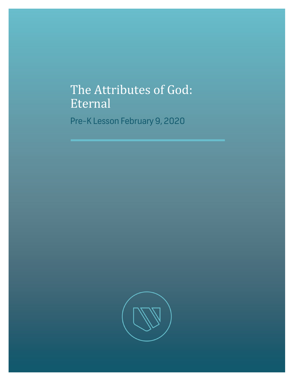## The Attributes of God: Eternal

Pre-K Lesson February 9, 2020

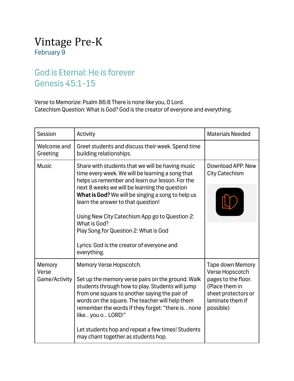## Vintage Pre-K February 9

## God is Eternal: He is forever Genesis 45:1-15

Verse to Memorize: Psalm 86:8 There is none like you, O Lord. Catechism Question: What is God? God is the creator of everyone and everything.

| Session                          | Activity                                                                                                                                                                                                                                                                                                                                                                                                                                                                    | <b>Materials Needed</b>                                                                                                                     |  |
|----------------------------------|-----------------------------------------------------------------------------------------------------------------------------------------------------------------------------------------------------------------------------------------------------------------------------------------------------------------------------------------------------------------------------------------------------------------------------------------------------------------------------|---------------------------------------------------------------------------------------------------------------------------------------------|--|
| Welcome and<br>Greeting          | Greet students and discuss their week. Spend time<br>building relationships.                                                                                                                                                                                                                                                                                                                                                                                                |                                                                                                                                             |  |
| <b>Music</b>                     | Share with students that we will be having music<br>time every week. We will be learning a song that<br>helps us remember and learn our lesson. For the<br>next 8 weeks we will be learning the question<br>What is God? We will be singing a song to help us<br>learn the answer to that question!<br>Using New City Catechism App go to Question 2:<br>What is God?<br>Play Song for Question 2: What is God<br>Lyrics: God is the creator of everyone and<br>everything. | Download APP: New<br><b>City Catechism</b>                                                                                                  |  |
| Memory<br>Verse<br>Game/Activity | Memory Verse Hopscotch.<br>Set up the memory verse pairs on the ground. Walk<br>students through how to play. Students will jump<br>from one square to another saying the pair of<br>words on the square. The teacher will help them<br>remember the words if they forget: "there is none<br>like you o LORD!"<br>Let students hop and repeat a few times! Students<br>may chant together as students hop.                                                                  | <b>Tape down Memory</b><br>Verse Hopscotch<br>pages to the floor.<br>(Place them in<br>sheet protectors or<br>laminate them if<br>possible) |  |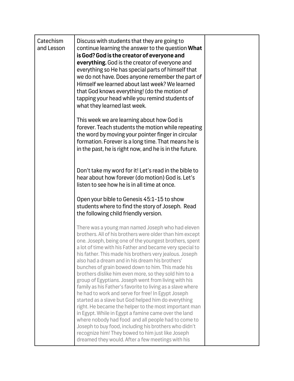| Catechism<br>and Lesson | Discuss with students that they are going to<br>continue learning the answer to the question What<br>is God? God is the creator of everyone and<br>everything. God is the creator of everyone and<br>everything so He has special parts of himself that<br>we do not have. Does anyone remember the part of<br>Himself we learned about last week? We learned<br>that God knows everything! (do the motion of<br>tapping your head while you remind students of<br>what they learned last week.                                                                                                                                                                                                                                                                                                                                                                                                                                                                                                                                               |  |
|-------------------------|-----------------------------------------------------------------------------------------------------------------------------------------------------------------------------------------------------------------------------------------------------------------------------------------------------------------------------------------------------------------------------------------------------------------------------------------------------------------------------------------------------------------------------------------------------------------------------------------------------------------------------------------------------------------------------------------------------------------------------------------------------------------------------------------------------------------------------------------------------------------------------------------------------------------------------------------------------------------------------------------------------------------------------------------------|--|
|                         | This week we are learning about how God is<br>forever. Teach students the motion while repeating<br>the word by moving your pointer finger in circular<br>formation. Forever is a long time. That means he is<br>in the past, he is right now, and he is in the future.                                                                                                                                                                                                                                                                                                                                                                                                                                                                                                                                                                                                                                                                                                                                                                       |  |
|                         | Don't take my word for it! Let's read in the bible to<br>hear about how forever (do motion) God is. Let's<br>listen to see how he is in all time at once.                                                                                                                                                                                                                                                                                                                                                                                                                                                                                                                                                                                                                                                                                                                                                                                                                                                                                     |  |
|                         | Open your bible to Genesis 45:1-15 to show<br>students where to find the story of Joseph. Read<br>the following child friendly version.                                                                                                                                                                                                                                                                                                                                                                                                                                                                                                                                                                                                                                                                                                                                                                                                                                                                                                       |  |
|                         | There was a young man named Joseph who had eleven<br>brothers. All of his brothers were older than him except<br>one. Joseph, being one of the youngest brothers, spent<br>a lot of time with his Father and became very special to<br>his father. This made his brothers very jealous. Joseph<br>also had a dream and in his dream his brothers'<br>bunches of grain bowed down to him. This made his<br>brothers dislike him even more, so they sold him to a<br>group of Egyptians. Joseph went from living with his<br>family as his Father's favorite to living as a slave where<br>he had to work and serve for free! In Egypt Joseph<br>started as a slave but God helped him do everything<br>right. He became the helper to the most important man<br>in Egypt. While in Egypt a famine came over the land<br>where nobody had food and all people had to come to<br>Joseph to buy food, including his brothers who didn't<br>recognize him! They bowed to him just like Joseph<br>dreamed they would. After a few meetings with his |  |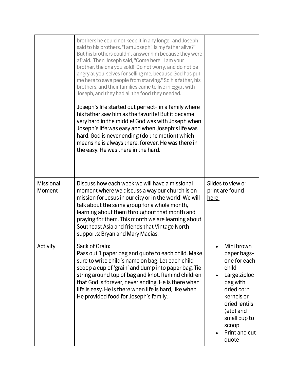|                            | brothers he could not keep it in any longer and Joseph<br>said to his brothers, "I am Joseph! Is my father alive?"<br>But his brothers couldn't answer him because they were<br>afraid. Then Joseph said, "Come here. I am your<br>brother, the one you sold! Do not worry, and do not be<br>angry at yourselves for selling me, because God has put<br>me here to save people from starving." So his father, his<br>brothers, and their families came to live in Egypt with<br>Joseph, and they had all the food they needed.<br>Joseph's life started out perfect- in a family where<br>his father saw him as the favorite! But it became<br>very hard in the middle! God was with Joseph when<br>Joseph's life was easy and when Joseph's life was<br>hard. God is never ending (do the motion) which<br>means he is always there, forever. He was there in<br>the easy. He was there in the hard. |                                                                                                                                                                                             |  |
|----------------------------|-------------------------------------------------------------------------------------------------------------------------------------------------------------------------------------------------------------------------------------------------------------------------------------------------------------------------------------------------------------------------------------------------------------------------------------------------------------------------------------------------------------------------------------------------------------------------------------------------------------------------------------------------------------------------------------------------------------------------------------------------------------------------------------------------------------------------------------------------------------------------------------------------------|---------------------------------------------------------------------------------------------------------------------------------------------------------------------------------------------|--|
| <b>Missional</b><br>Moment | Discuss how each week we will have a missional<br>moment where we discuss a way our church is on<br>mission for Jesus in our city or in the world! We will<br>talk about the same group for a whole month,<br>learning about them throughout that month and<br>praying for them. This month we are learning about<br>Southeast Asia and friends that Vintage North<br>supports: Bryan and Mary Macias.                                                                                                                                                                                                                                                                                                                                                                                                                                                                                                | Slides to view or<br>print are found<br>here.                                                                                                                                               |  |
| Activity                   | Sack of Grain:<br>Pass out 1 paper bag and quote to each child. Make<br>sure to write child's name on bag. Let each child<br>scoop a cup of 'grain' and dump into paper bag. Tie<br>string around top of bag and knot. Remind children<br>that God is forever, never ending. He is there when<br>life is easy. He is there when life is hard, like when<br>He provided food for Joseph's family.                                                                                                                                                                                                                                                                                                                                                                                                                                                                                                      | Mini brown<br>paper bags-<br>one for each<br>child<br>Large ziploc<br>bag with<br>dried corn<br>kernels or<br>dried lentils<br>(etc) and<br>small cup to<br>scoop<br>Print and cut<br>quote |  |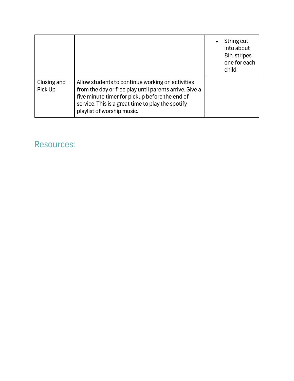|                        |                                                                                                                                                                                                                                                 | $\bullet$ | String cut<br>into about<br>8in. stripes<br>one for each<br>child. |
|------------------------|-------------------------------------------------------------------------------------------------------------------------------------------------------------------------------------------------------------------------------------------------|-----------|--------------------------------------------------------------------|
| Closing and<br>Pick Up | Allow students to continue working on activities<br>from the day or free play until parents arrive. Give a<br>five minute timer for pickup before the end of<br>service. This is a great time to play the spotify<br>playlist of worship music. |           |                                                                    |

## Resources: